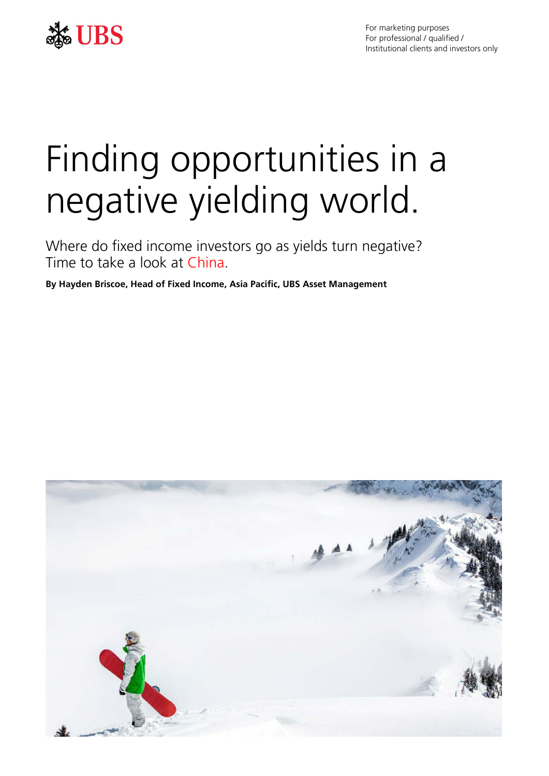

For marketing purposes For professional / qualified / Institutional clients and investors only

# Finding opportunities in a negative yielding world.

Where do fixed income investors go as yields turn negative? Time to take a look at China.

**By Hayden Briscoe, Head of Fixed Income, Asia Pacific, UBS Asset Management**

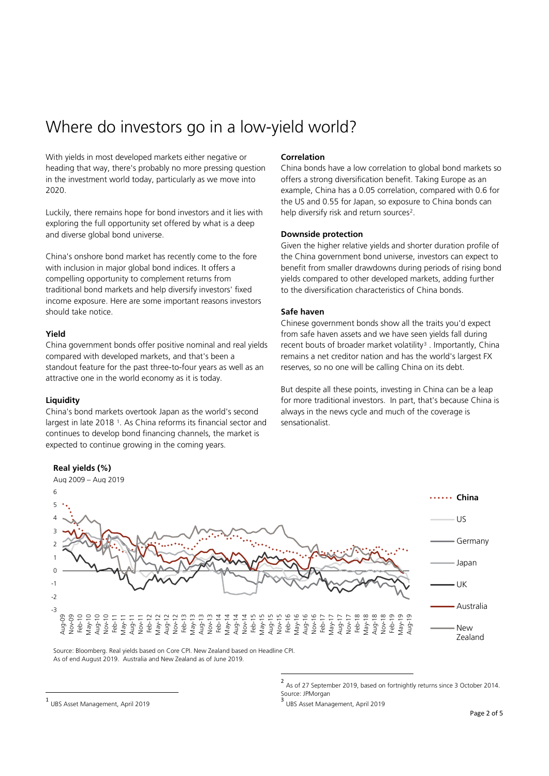# Where do investors go in a low-yield world?

With yields in most developed markets either negative or heading that way, there's probably no more pressing question in the investment world today, particularly as we move into 2020.

Luckily, there remains hope for bond investors and it lies with exploring the full opportunity set offered by what is a deep and diverse global bond universe.

China's onshore bond market has recently come to the fore with inclusion in major global bond indices. It offers a compelling opportunity to complement returns from traditional bond markets and help diversify investors' fixed income exposure. Here are some important reasons investors should take notice.

# **Yield**

China government bonds offer positive nominal and real yields compared with developed markets, and that's been a standout feature for the past three-to-four years as well as an attractive one in the world economy as it is today.

#### **Liquidity**

China's bond markets overtook Japan as the world's second largest in late 2018 [1.](#page-1-0) As China reforms its financial sector and continues to develop bond financing channels, the market is expected to continue growing in the coming years.

# **Correlation**

China bonds have a low correlation to global bond markets so offers a strong diversification benefit. Taking Europe as an example, China has a 0.05 correlation, compared with 0.6 for the US and 0.55 for Japan, so exposure to China bonds can help diversify risk and return sources<sup>2</sup>.

## **Downside protection**

Given the higher relative yields and shorter duration profile of the China government bond universe, investors can expect to benefit from smaller drawdowns during periods of rising bond yields compared to other developed markets, adding further to the diversification characteristics of China bonds.

## **Safe haven**

Chinese government bonds show all the traits you'd expect from safe haven assets and we have seen yields fall during recent bouts of broader market volatility<sup>[3](#page-1-0)</sup>. Importantly, China remains a net creditor nation and has the world's largest FX reserves, so no one will be calling China on its debt.

But despite all these points, investing in China can be a leap for more traditional investors. In part, that's because China is always in the news cycle and much of the coverage is sensationalist.



Source: Bloomberg. Real yields based on Core CPI. New Zealand based on Headline CPI. As of end August 2019. Australia and New Zealand as of June 2019.

UBS Asset Management, April 2019

<sup>2</sup> As of 27 September 2019, based on fortnightly returns since 3 October 2014.<br>Source: JPMorgan

<span id="page-1-1"></span><span id="page-1-0"></span>UBS Asset Management, April 2019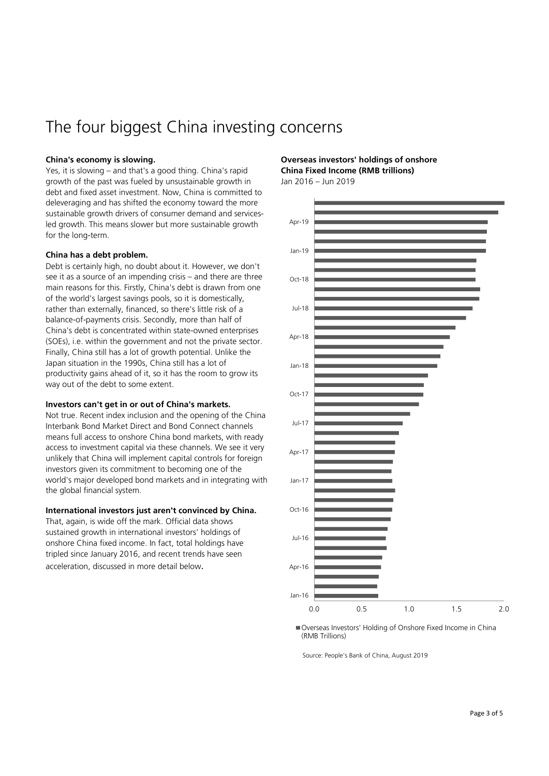# The four biggest China investing concerns

# **China's economy is slowing.**

Yes, it is slowing – and that's a good thing. China's rapid growth of the past was fueled by unsustainable growth in debt and fixed asset investment. Now, China is committed to deleveraging and has shifted the economy toward the more sustainable growth drivers of consumer demand and servicesled growth. This means slower but more sustainable growth for the long-term.

#### **China has a debt problem.**

Debt is certainly high, no doubt about it. However, we don't see it as a source of an impending crisis – and there are three main reasons for this. Firstly, China's debt is drawn from one of the world's largest savings pools, so it is domestically, rather than externally, financed, so there's little risk of a balance-of-payments crisis. Secondly, more than half of China's debt is concentrated within state-owned enterprises (SOEs), i.e. within the government and not the private sector. Finally, China still has a lot of growth potential. Unlike the Japan situation in the 1990s, China still has a lot of productivity gains ahead of it, so it has the room to grow its way out of the debt to some extent.

#### **Investors can't get in or out of China's markets.**

Not true. Recent index inclusion and the opening of the China Interbank Bond Market Direct and Bond Connect channels means full access to onshore China bond markets, with ready access to investment capital via these channels. We see it very unlikely that China will implement capital controls for foreign investors given its commitment to becoming one of the world's major developed bond markets and in integrating with the global financial system.

# **International investors just aren't convinced by China.**

That, again, is wide off the mark. Official data shows sustained growth in international investors' holdings of onshore China fixed income. In fact, total holdings have tripled since January 2016, and recent trends have seen acceleration, discussed in more detail below.

**Overseas investors' holdings of onshore China Fixed Income (RMB trillions)**

Jan 2016 – Jun 2019



Overseas Investors' Holding of Onshore Fixed Income in China (RMB Trillions)

Source: People's Bank of China, August 2019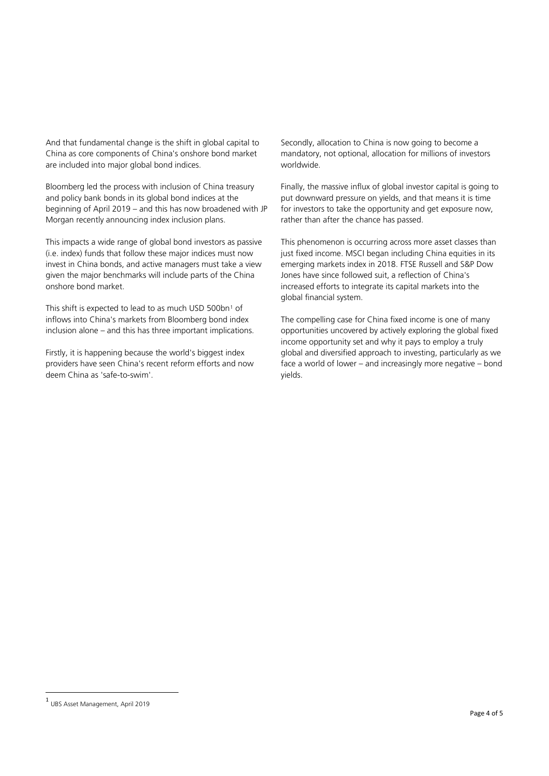And that fundamental change is the shift in global capital to China as core components of China's onshore bond market are included into major global bond indices.

Bloomberg led the process with inclusion of China treasury and policy bank bonds in its global bond indices at the beginning of April 2019 – and this has now broadened with JP Morgan recently announcing index inclusion plans.

This impacts a wide range of global bond investors as passive (i.e. index) funds that follow these major indices must now invest in China bonds, and active managers must take a view given the major benchmarks will include parts of the China onshore bond market.

This shift is expected to lead to as much USD 500bn<sup>1</sup> of inflows into China's markets from Bloomberg bond index inclusion alone – and this has three important implications.

Firstly, it is happening because the world's biggest index providers have seen China's recent reform efforts and now deem China as 'safe-to-swim'.

Secondly, allocation to China is now going to become a mandatory, not optional, allocation for millions of investors worldwide.

Finally, the massive influx of global investor capital is going to put downward pressure on yields, and that means it is time for investors to take the opportunity and get exposure now, rather than after the chance has passed.

This phenomenon is occurring across more asset classes than just fixed income. MSCI began including China equities in its emerging markets index in 2018. FTSE Russell and S&P Dow Jones have since followed suit, a reflection of China's increased efforts to integrate its capital markets into the global financial system.

The compelling case for China fixed income is one of many opportunities uncovered by actively exploring the global fixed income opportunity set and why it pays to employ a truly global and diversified approach to investing, particularly as we face a world of lower – and increasingly more negative – bond yields.

<span id="page-3-0"></span><sup>1</sup> UBS Asset Management, April 2019